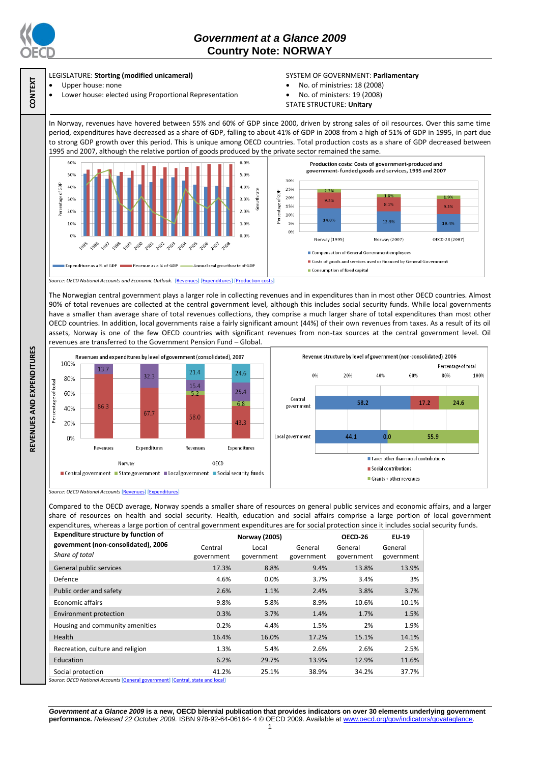

**CONTEXT**

**REVENUES AND EXPENDITURES**

REVENUES AND EXPENDITURES

# *Government at a Glance 2009*  **Country Note: NORWAY**

## LEGISLATURE: **Storting (modified unicameral)**

- Upper house: none
- Lower house: elected using Proportional Representation

### SYSTEM OF GOVERNMENT: **Parliamentary**

- No. of ministries: 18 (2008)
- No. of ministers: 19 (2008)
- STATE STRUCTURE: **Unitary**

In Norway, revenues have hovered between 55% and 60% of GDP since 2000, driven by strong sales of oil resources. Over this same time period, expenditures have decreased as a share of GDP, falling to about 41% of GDP in 2008 from a high of 51% of GDP in 1995, in part due to strong GDP growth over this period. This is unique among OECD countries. Total production costs as a share of GDP decreased between 1995 and 2007, although the relative portion of goods produced by the private sector remained the same.



The Norwegian central government plays a larger role in collecting revenues and in expenditures than in most other OECD countries. Almost 90% of total revenues are collected at the central government level, although this includes social security funds. While local governments have a smaller than average share of total revenues collections, they comprise a much larger share of total expenditures than most other OECD countries. In addition, local governments raise a fairly significant amount (44%) of their own revenues from taxes. As a result of its oil assets, Norway is one of the few OECD countries with significant revenues from non-tax sources at the central government level. Oil revenues are transferred to the Government Pension Fund – Global.



*Source: OECD National Accounts* [\[Revenues\]](http://dx.doi.org/10.1787/723418413857) [\[Expenditures\]](http://dx.doi.org/10.1787/723508524025)

Compared to the OECD average, Norway spends a smaller share of resources on general public services and economic affairs, and a larger share of resources on health and social security. Health, education and social affairs comprise a large portion of local government expenditures, whereas a large portion of central government expenditures are for social protection since it includes social security funds.

| <b>Expenditure structure by function of</b>           | <b>Norway (2005)</b>  |                     |                       | OECD-26               | EU-19                 |
|-------------------------------------------------------|-----------------------|---------------------|-----------------------|-----------------------|-----------------------|
| government (non-consolidated), 2006<br>Share of total | Central<br>government | Local<br>government | General<br>government | General<br>government | General<br>government |
| General public services                               | 17.3%                 | 8.8%                | 9.4%                  | 13.8%                 | 13.9%                 |
| Defence                                               | 4.6%                  | $0.0\%$             | 3.7%                  | 3.4%                  | 3%                    |
| Public order and safety                               | 2.6%                  | 1.1%                | 2.4%                  | 3.8%                  | 3.7%                  |
| Economic affairs                                      | 9.8%                  | 5.8%                | 8.9%                  | 10.6%                 | 10.1%                 |
| Environment protection                                | 0.3%                  | 3.7%                | 1.4%                  | 1.7%                  | 1.5%                  |
| Housing and community amenities                       | 0.2%                  | 4.4%                | 1.5%                  | 2%                    | 1.9%                  |
| Health                                                | 16.4%                 | 16.0%               | 17.2%                 | 15.1%                 | 14.1%                 |
| Recreation, culture and religion                      | 1.3%                  | 5.4%                | 2.6%                  | 2.6%                  | 2.5%                  |
| Education                                             | 6.2%                  | 29.7%               | 13.9%                 | 12.9%                 | 11.6%                 |
| Social protection                                     | 41.2%                 | 25.1%               | 38.9%                 | 34.2%                 | 37.7%                 |

*Source: OECD National Accounts* [\[General government\]](http://dx.doi.org/10.1787/723501646741) [\[Central, state and local\]](http://dx.doi.org/10.1787/723508524025)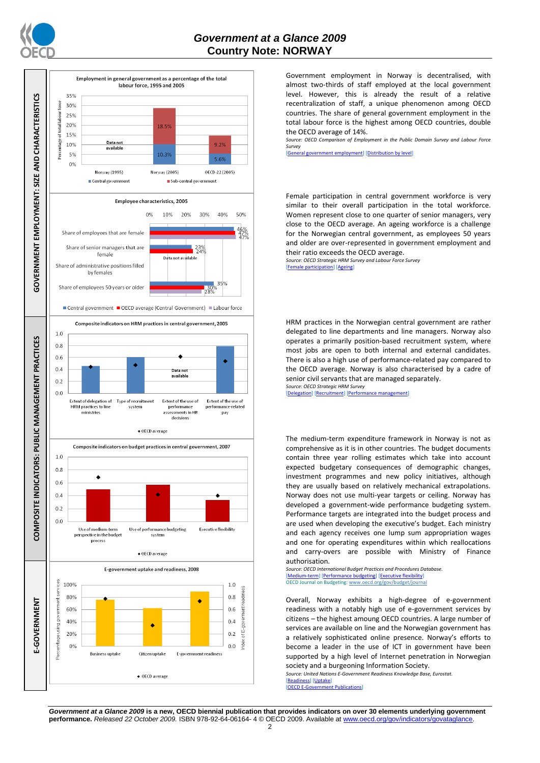



Government employment in Norway is decentralised, with almost two-thirds of staff employed at the local government level. However, this is already the result of a relative recentralization of staff, a unique phenomenon among OECD countries. The share of general government employment in the total labour force is the highest among OECD countries, double the OECD average of 14%.

*Source: OECD Comparison of Employment in the Public Domain Survey and Labour Force Survey*

[\[General government employment\]](http://dx.doi.org/10.1787/723622503117) [\[Distribution by level\]](http://dx.doi.org/10.1787/723627140760)

Female participation in central government workforce is very similar to their overall participation in the total workforce. Women represent close to one quarter of senior managers, very close to the OECD average. An ageing workforce is a challenge for the Norwegian central government, as employees 50 years and older are over-represented in government employment and their ratio exceeds the OECD average.

*Source: OECD Strategic HRM Survey and Labour Force Survey* participation] [\[Ageing\]](http://dx.doi.org/10.1787/723656070327)

HRM practices in the Norwegian central government are rather delegated to line departments and line managers. Norway also operates a primarily position-based recruitment system, where most jobs are open to both internal and external candidates. There is also a high use of performance-related pay compared to the OECD average. Norway is also characterised by a cadre of senior civil servants that are managed separately. *Source: OECD Strategic HRM Survey* 

[\[Delegation\]](http://dx.doi.org/10.1787/723663744332) [\[Recruitment\]](http://dx.doi.org/10.1787/723668744361) [\[Performance management\]](http://dx.doi.org/10.1787/723750171710)

The medium-term expenditure framework in Norway is not as comprehensive as it is in other countries. The budget documents contain three year rolling estimates which take into account expected budgetary consequences of demographic changes, investment programmes and new policy initiatives, although they are usually based on relatively mechanical extrapolations. Norway does not use multi-year targets or ceiling. Norway has developed a government-wide performance budgeting system. Performance targets are integrated into the budget process and are used when developing the executive's budget. Each ministry and each agency receives one lump sum appropriation wages and one for operating expenditures within which reallocations and carry-overs are possible with Ministry of Finance authorisation.

*Source: OECD International Budget Practices and Procedures Database.* [\[Medium-term\]](http://dx.doi.org/10.1787/723856770865) [\[Performance budgeting\]](http://dx.doi.org/10.1787/723863437686) [\[Executive flexibility\]](http://dx.doi.org/10.1787/723876713213) OECD Journal on Budgeting[: www.oecd.org/gov/budget/journal](http://www.oecd.org/gov/budget/journal)

Overall, Norway exhibits a high-degree of e-government readiness with a notably high use of e-government services by citizens – the highest amoung OECD countries. A large number of services are available on line and the Norwegian government has a relatively sophisticated online presence. Norway's efforts to become a leader in the use of ICT in government have been supported by a high level of Internet penetration in Norwegian society and a burgeoning Information Society.

*Source: United Nations E-Government Readiness Knowledge Base, Eurostat.* [\[Readiness\]](http://dx.doi.org/10.1787/724248078408) [\[Uptake\]](http://dx.doi.org/10.1787/724264662272) [\[OECD E-Government Publications\]](http://www.oecd.org/document/40/0,3343,en_2649_34129_41342248_1_1_1_1,00.html)

*Government at a Glance 2009* **is a new, OECD biennial publication that provides indicators on over 30 elements underlying government performance.** Released 22 October 2009. ISBN 978-92-64-06164- 4 © OECD 2009. Available at www.oecd.org/gov/indicators/gova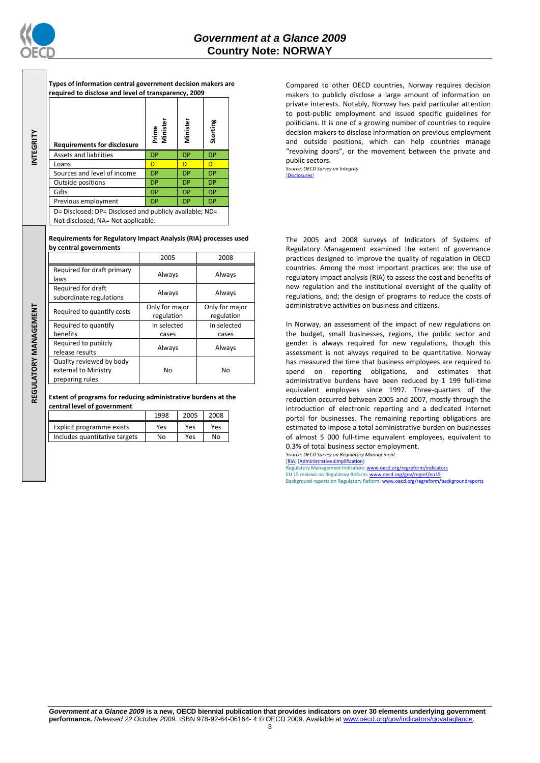

**REGULATORY MANAGEMENT**REGULATORY MANAGEMENT

| Types of information central government decision makers are |
|-------------------------------------------------------------|
| required to disclose and level of transparency, 2009        |

| <b>Requirements for disclosure</b>                                                            | Prime<br>Minister | Vinister  | Storting  |  |
|-----------------------------------------------------------------------------------------------|-------------------|-----------|-----------|--|
| <b>Assets and liabilities</b>                                                                 | DP                | DP        | <b>DP</b> |  |
| Loans                                                                                         | D                 | D         | D         |  |
| Sources and level of income                                                                   | DP                | <b>DP</b> | <b>DP</b> |  |
| Outside positions                                                                             | DP                | <b>DP</b> | <b>DP</b> |  |
| Gifts                                                                                         | DP                | <b>DP</b> | <b>DP</b> |  |
| Previous employment                                                                           | DP                | DP        | <b>DP</b> |  |
| D= Disclosed; DP= Disclosed and publicly available; ND=<br>Not disclosed; NA= Not applicable. |                   |           |           |  |

**Requirements for Regulatory Impact Analysis (RIA) processes used by central governments**

|                                               | 2005                         | 2008                         |
|-----------------------------------------------|------------------------------|------------------------------|
| Required for draft primary<br>laws            | Always                       | Always                       |
| Required for draft<br>subordinate regulations | Always                       | Always                       |
| Required to quantify costs                    | Only for major<br>regulation | Only for major<br>regulation |
| Required to quantify                          | In selected                  | In selected                  |
| benefits                                      | cases                        | cases                        |
| Required to publicly<br>release results       | Always                       | Always                       |
| Quality reviewed by body                      |                              |                              |
| external to Ministry<br>preparing rules       | No                           | No                           |

#### **Extent of programs for reducing administrative burdens at the central level of government**

|                               | 1998 | 2005 | 2008 |
|-------------------------------|------|------|------|
| Explicit programme exists     | Yes  | Yes  | Yes  |
| Includes quantitative targets | N٥   | Yes  | No   |

Compared to other OECD countries, Norway requires decision makers to publicly disclose a large amount of information on private interests. Notably, Norway has paid particular attention to post-public employment and issued specific guidelines for politicians. It is one of a growing number of countries to require decision makers to disclose information on previous employment and outside positions, which can help countries manage "revolving doors", or the movement between the private and public sectors.

*Source: OECD Survey on Integrity* [\[Disclosures\]](http://dx.doi.org/10.1787/724123642681)

The 2005 and 2008 surveys of Indicators of Systems of Regulatory Management examined the extent of governance practices designed to improve the quality of regulation in OECD countries. Among the most important practices are: the use of regulatory impact analysis (RIA) to assess the cost and benefits of new regulation and the institutional oversight of the quality of regulations, and; the design of programs to reduce the costs of administrative activities on business and citizens.

In Norway, an assessment of the impact of new regulations on the budget, small businesses, regions, the public sector and gender is always required for new regulations, though this assessment is not always required to be quantitative. Norway has measured the time that business employees are required to spend on reporting obligations, and estimates that administrative burdens have been reduced by 1 199 full-time equivalent employees since 1997. Three-quarters of the reduction occurred between 2005 and 2007, mostly through the introduction of electronic reporting and a dedicated Internet portal for businesses. The remaining reporting obligations are estimated to impose a total administrative burden on businesses of almost 5 000 full-time equivalent employees, equivalent to 0.3% of total business sector employment. *Source: OECD Survey on Regulatory Management.*

#### [\[RIA\]](http://dx.doi.org/10.1787/724045144354) [\[Administrative simplification\]](http://dx.doi.org/10.1787/724058851054)

REGULATOR CONSTRUCTIONS CONTROLLED TO MANAGEMENT CONTROLLED TO MANAGEMENT CONTROLLED TO MANAGEMENT CONTROLLED TO MANAGEMENT CONTROLLED TO MANAGEMENT CONTROLLED TO MANAGEMENT CONTROLLED TO MANAGEMENT CONTROLLED TO MANAGEMEN EU 15 reviews on Regulatory Reform[: www.oecd.org/gov/regref/eu15](http://www.oecd.org/gov/regref/eu15)<br>Background reports on Regulatory Reform[: www.oecd.org/regreform/backgroundreports](http://www.oecd.org/regreform/backgroundreports)